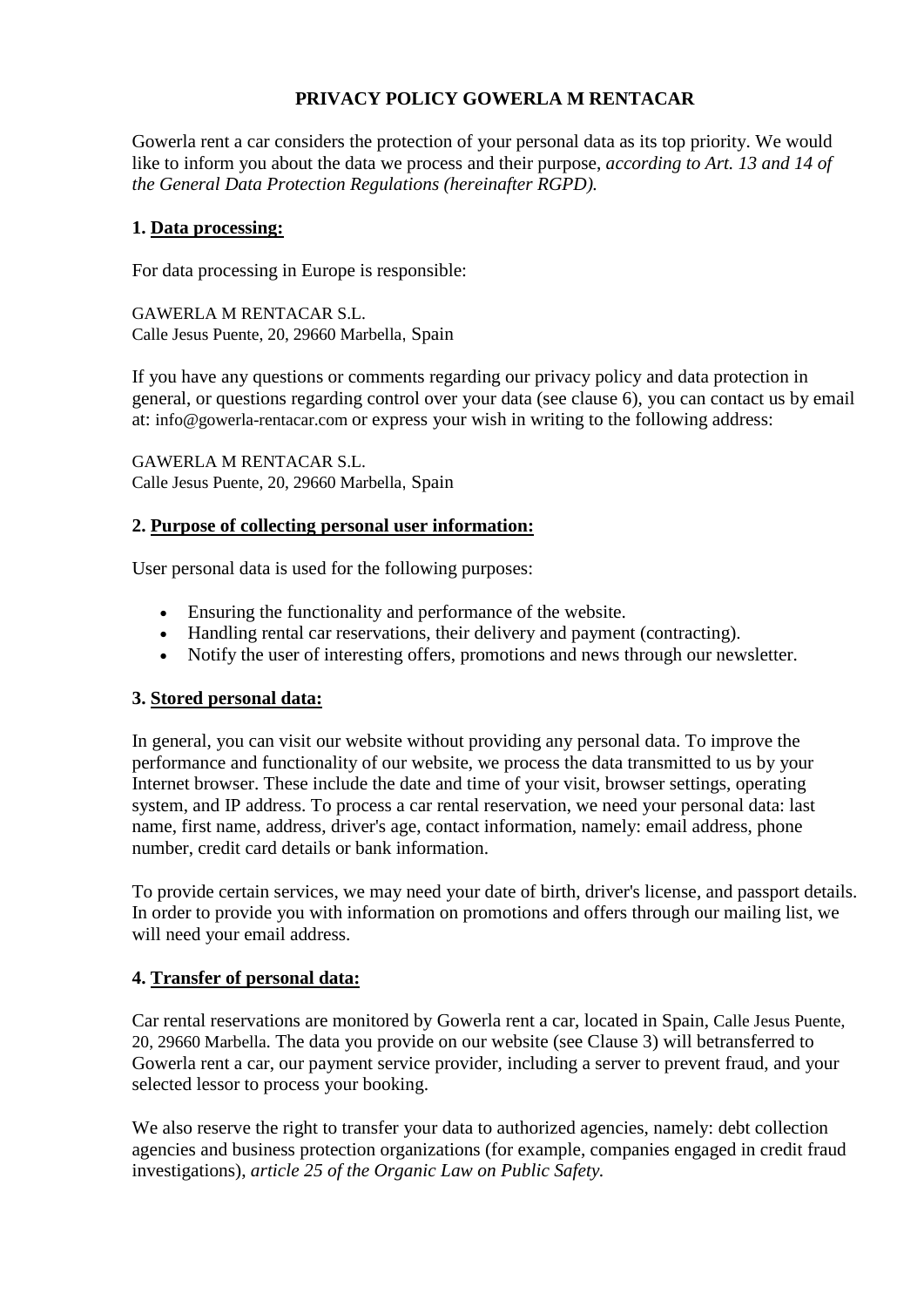# **PRIVACY POLICY GOWERLA M RENTACAR**

Gowerla rent a car considers the protection of your personal data as its top priority. We would like to inform you about the data we process and their purpose, *according to Art. 13 and 14 of the General Data Protection Regulations (hereinafter RGPD).*

#### **1. Data processing:**

For data processing in Europe is responsible:

GAWERLA M RENTACAR S.L. Calle Jesus Puente, 20, 29660 Marbella, Spain

If you have any questions or comments regarding our privacy policy and data protection in general, or questions regarding control over your data (see clause 6), you can contact us by email at: info@gowerla-rentacar.com or express your wish in writing to the following address:

GAWERLA M RENTACAR S.L. Calle Jesus Puente, 20, 29660 Marbella, Spain

### **2. Purpose of collecting personal user information:**

User personal data is used for the following purposes:

- Ensuring the functionality and performance of the website.
- Handling rental car reservations, their delivery and payment (contracting).
- Notify the user of interesting offers, promotions and news through our newsletter.

### **3. Stored personal data:**

In general, you can visit our website without providing any personal data. To improve the performance and functionality of our website, we process the data transmitted to us by your Internet browser. These include the date and time of your visit, browser settings, operating system, and IP address. To process a car rental reservation, we need your personal data: last name, first name, address, driver's age, contact information, namely: email address, phone number, credit card details or bank information.

To provide certain services, we may need your date of birth, driver's license, and passport details. In order to provide you with information on promotions and offers through our mailing list, we will need your email address.

### **4. Transfer of personal data:**

Car rental reservations are monitored by Gowerla rent a car, located in Spain, Calle Jesus Puente, 20, 29660 Marbella. The data you provide on our website (see Clause 3) will betransferred to Gowerla rent a car, our payment service provider, including a server to prevent fraud, and your selected lessor to process your booking.

We also reserve the right to transfer your data to authorized agencies, namely: debt collection agencies and business protection organizations (for example, companies engaged in credit fraud investigations), *article 25 of the Organic Law on Public Safety.*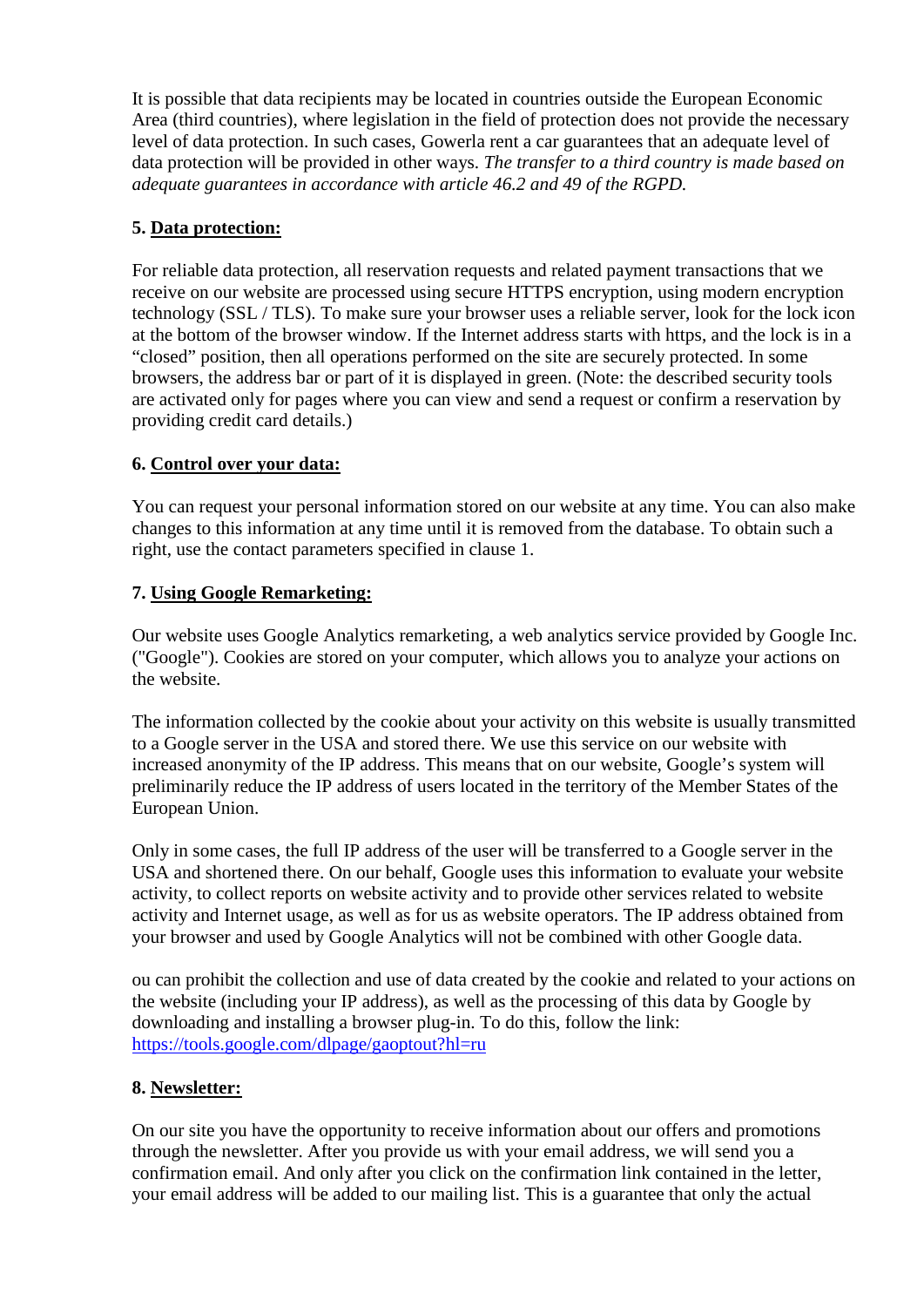It is possible that data recipients may be located in countries outside the European Economic Area (third countries), where legislation in the field of protection does not provide the necessary level of data protection. In such cases, Gowerla rent a car guarantees that an adequate level of data protection will be provided in other ways. *The transfer to a third country is made based on adequate guarantees in accordance with article 46.2 and 49 of the RGPD.*

## **5. Data protection:**

For reliable data protection, all reservation requests and related payment transactions that we receive on our website are processed using secure HTTPS encryption, using modern encryption technology (SSL / TLS). To make sure your browser uses a reliable server, look for the lock icon at the bottom of the browser window. If the Internet address starts with https, and the lock is in a "closed" position, then all operations performed on the site are securely protected. In some browsers, the address bar or part of it is displayed in green. (Note: the described security tools are activated only for pages where you can view and send a request or confirm a reservation by providing credit card details.)

### **6. Control over your data:**

You can request your personal information stored on our website at any time. You can also make changes to this information at any time until it is removed from the database. To obtain such a right, use the contact parameters specified in clause 1.

## **7. Using Google Remarketing:**

Our website uses Google Analytics remarketing, a web analytics service provided by Google Inc. ("Google"). Cookies are stored on your computer, which allows you to analyze your actions on the website.

The information collected by the cookie about your activity on this website is usually transmitted to a Google server in the USA and stored there. We use this service on our website with increased anonymity of the IP address. This means that on our website, Google's system will preliminarily reduce the IP address of users located in the territory of the Member States of the European Union.

Only in some cases, the full IP address of the user will be transferred to a Google server in the USA and shortened there. On our behalf, Google uses this information to evaluate your website activity, to collect reports on website activity and to provide other services related to website activity and Internet usage, as well as for us as website operators. The IP address obtained from your browser and used by Google Analytics will not be combined with other Google data.

ou can prohibit the collection and use of data created by the cookie and related to your actions on the website (including your IP address), as well as the processing of this data by Google by downloading and installing a browser plug-in. To do this, follow the link: <https://tools.google.com/dlpage/gaoptout?hl=ru>

# **8. Newsletter:**

On our site you have the opportunity to receive information about our offers and promotions through the newsletter. After you provide us with your email address, we will send you a confirmation email. And only after you click on the confirmation link contained in the letter, your email address will be added to our mailing list. This is a guarantee that only the actual